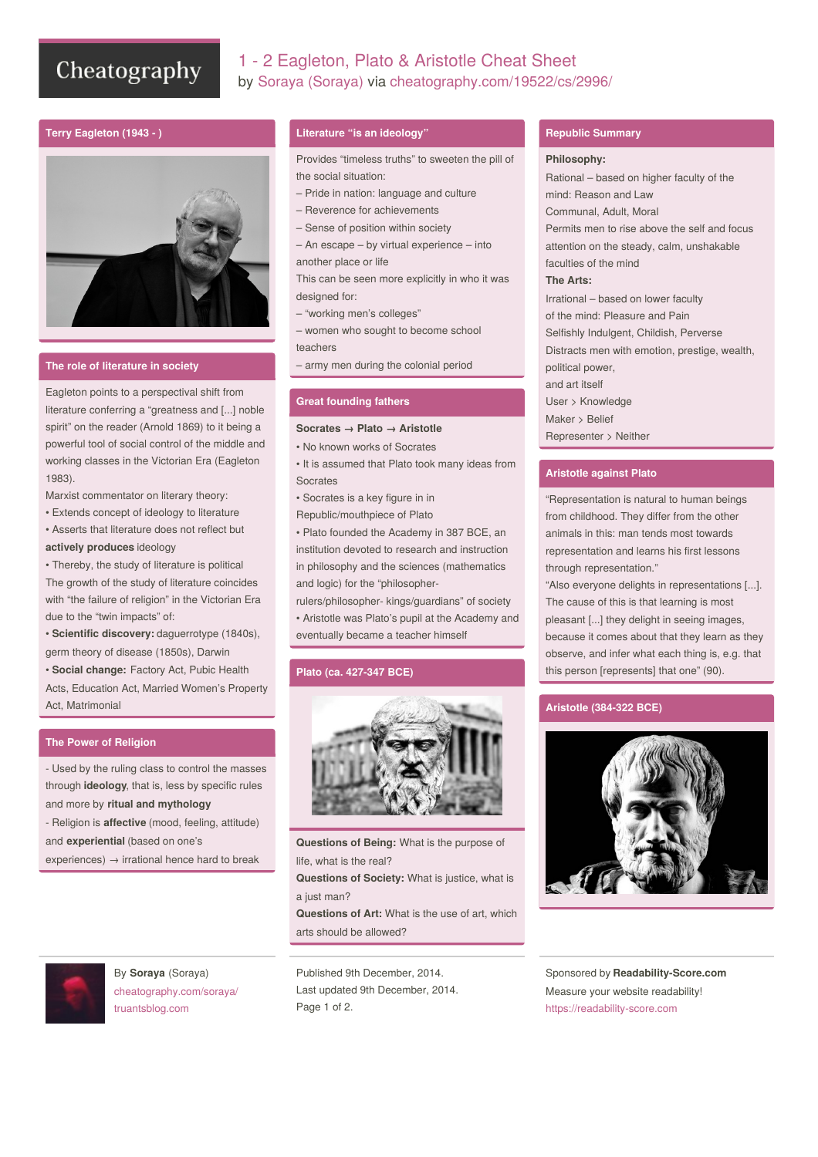# Cheatography

# 1 - 2 Eagleton, Plato & Aristotle Cheat Sheet by Soraya [\(Soraya\)](http://www.cheatography.com/soraya/) via [cheatography.com/19522/cs/2996/](http://www.cheatography.com/soraya/cheat-sheets/1-2-eagleton-plato-and-aristotle)

# **Terry Eagleton (1943 - )**



#### **The role of literature in society**

Eagleton points to a perspectival shift from literature conferring a "greatness and [...] noble spirit" on the reader (Arnold 1869) to it being a powerful tool of social control of the middle and working classes in the Victorian Era (Eagleton 1983).

Marxist commentator on literary theory:

• Extends concept of ideology to literature • Asserts that literature does not reflect but

#### **actively produces** ideology

• Thereby, the study of literature is political The growth of the study of literature coincides with "the failure of religion" in the Victorian Era due to the "twin impacts" of:

• **Scientific discovery:** daguerrotype (1840s), germ theory of disease (1850s), Darwin

• **Social change:** Factory Act, Pubic Health

Acts, Education Act, Married Women's Property Act, Matrimonial

## **The Power of Religion**

- Used by the ruling class to control the masses through **ideology**, that is, less by specific rules and more by **ritual and mythology** - Religion is **affective** (mood, feeling, attitude) and **experiential** (based on one's

experiences)  $\rightarrow$  irrational hence hard to break



By **Soraya** (Soraya) [cheatography.com/soraya/](http://www.cheatography.com/soraya/) [truantsblog.com](http://truantsblog.com)

#### **Literature "is an ideology"**

Provides "timeless truths" to sweeten the pill of the social situation:

- Pride in nation: language and culture
- Reverence for achievements
- Sense of position within society
- An escape by virtual experience into
- another place or life

This can be seen more explicitly in who it was designed for:

– "working men's colleges"

– women who sought to become school teachers

– army men during the colonial period

#### **Great founding fathers**

#### **Socrates → Plato → Aristotle**

• No known works of Socrates

• It is assumed that Plato took many ideas from **Socrates** 

- Socrates is a key figure in in
- Republic/mouthpiece of Plato

• Plato founded the Academy in 387 BCE, an institution devoted to research and instruction in philosophy and the sciences (mathematics and logic) for the "philosopher-

rulers/philosopher- kings/guardians" of society • Aristotle was Plato's pupil at the Academy and eventually became a teacher himself

# **Plato (ca. 427-347 BCE)**



**Questions of Being:** What is the purpose of life, what is the real?

**Questions of Society:** What is justice, what is a just man?

**Questions of Art:** What is the use of art, which arts should be allowed?

Published 9th December, 2014. Last updated 9th December, 2014. Page 1 of 2.

#### **Republic Summary**

#### **Philosophy:**

Rational – based on higher faculty of the mind: Reason and Law Communal, Adult, Moral Permits men to rise above the self and focus attention on the steady, calm, unshakable faculties of the mind **The Arts:** Irrational – based on lower faculty of the mind: Pleasure and Pain Selfishly Indulgent, Childish, Perverse Distracts men with emotion, prestige, wealth, political power, and art itself User > Knowledge Maker > Belief Representer > Neither

# **Aristotle against Plato**

"Representation is natural to human beings from childhood. They differ from the other animals in this: man tends most towards representation and learns his first lessons through representation."

"Also everyone delights in representations [...]. The cause of this is that learning is most pleasant [...] they delight in seeing images, because it comes about that they learn as they observe, and infer what each thing is, e.g. that this person [represents] that one" (90).

## **Aristotle (384-322 BCE)**



Sponsored by **Readability-Score.com** Measure your website readability! <https://readability-score.com>